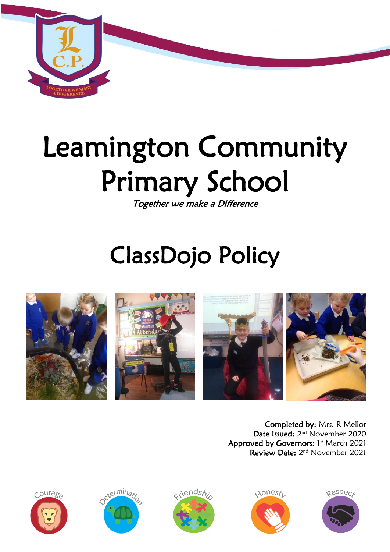

# Leamington Community Primary School

Together we make a Difference

# ClassDojo Policy







Completed by: Mrs. R Mellor Date Issued: 2<sup>nd</sup> November 2020 Approved by Governors: 1st March 2021 Review Date: 2<sup>nd</sup> November 2021









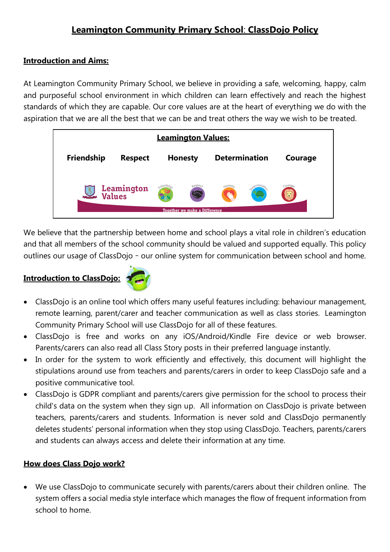# **Leamington Community Primary School**: **ClassDojo Policy**

#### **Introduction and Aims:**

At Leamington Community Primary School, we believe in providing a safe, welcoming, happy, calm and purposeful school environment in which children can learn effectively and reach the highest standards of which they are capable. Our core values are at the heart of everything we do with the aspiration that we are all the best that we can be and treat others the way we wish to be treated.

| <b>Leamington Values:</b>                       |                |                |                                            |                                    |  |         |  |
|-------------------------------------------------|----------------|----------------|--------------------------------------------|------------------------------------|--|---------|--|
| Friendship                                      | <b>Respect</b> | <b>Honesty</b> |                                            | <b>Determination</b>               |  | Courage |  |
| Leamington<br>Values<br>$\frac{1}{\text{C.P.}}$ |                |                | œ.<br><b>Together we make a Difference</b> | $\lambda$ ones $t_1$<br><b>Ser</b> |  |         |  |

We believe that the partnership between home and school plays a vital role in children's education and that all members of the school community should be valued and supported equally. This policy outlines our usage of ClassDojo – our online system for communication between school and home.

# **Introduction to ClassDojo:**



- ClassDojo is an online tool which offers many useful features including: behaviour management, remote learning, parent/carer and teacher communication as well as class stories. Leamington Community Primary School will use ClassDojo for all of these features.
- ClassDojo is free and works on any iOS/Android/Kindle Fire device or web browser. Parents/carers can also read all Class Story posts in their preferred language instantly.
- In order for the system to work efficiently and effectively, this document will highlight the stipulations around use from teachers and parents/carers in order to keep ClassDojo safe and a positive communicative tool.
- ClassDojo is GDPR compliant and parents/carers give permission for the school to process their child's data on the system when they sign up. All information on ClassDojo is private between teachers, parents/carers and students. Information is never sold and ClassDojo permanently deletes students' personal information when they stop using ClassDojo. Teachers, parents/carers and students can always access and delete their information at any time.

#### **How does Class Dojo work?**

 We use ClassDojo to communicate securely with parents/carers about their children online. The system offers a social media style interface which manages the flow of frequent information from school to home.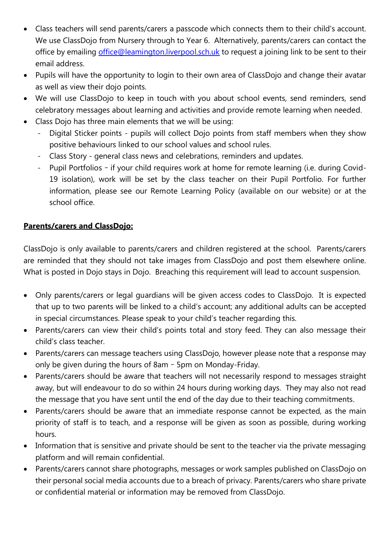- Class teachers will send parents/carers a passcode which connects them to their child's account. We use ClassDojo from Nursery through to Year 6. Alternatively, parents/carers can contact the office by emailing [office@leamington.liverpool.sch.uk](mailto:office@leamington.liverpool.sch.uk) to request a joining link to be sent to their email address.
- Pupils will have the opportunity to login to their own area of ClassDojo and change their avatar as well as view their dojo points.
- We will use ClassDojo to keep in touch with you about school events, send reminders, send celebratory messages about learning and activities and provide remote learning when needed.
- Class Dojo has three main elements that we will be using:
	- Digital Sticker points pupils will collect Dojo points from staff members when they show positive behaviours linked to our school values and school rules.
	- Class Story general class news and celebrations, reminders and updates.
	- Pupil Portfolios if your child requires work at home for remote learning (i.e. during Covid-19 isolation), work will be set by the class teacher on their Pupil Portfolio. For further information, please see our Remote Learning Policy (available on our website) or at the school office.

## **Parents/carers and ClassDojo:**

ClassDojo is only available to parents/carers and children registered at the school. Parents/carers are reminded that they should not take images from ClassDojo and post them elsewhere online. What is posted in Dojo stays in Dojo. Breaching this requirement will lead to account suspension.

- Only parents/carers or legal guardians will be given access codes to ClassDojo. It is expected that up to two parents will be linked to a child's account; any additional adults can be accepted in special circumstances. Please speak to your child's teacher regarding this.
- Parents/carers can view their child's points total and story feed. They can also message their child's class teacher.
- Parents/carers can message teachers using ClassDojo, however please note that a response may only be given during the hours of 8am – 5pm on Monday-Friday.
- Parents/carers should be aware that teachers will not necessarily respond to messages straight away, but will endeavour to do so within 24 hours during working days. They may also not read the message that you have sent until the end of the day due to their teaching commitments.
- Parents/carers should be aware that an immediate response cannot be expected, as the main priority of staff is to teach, and a response will be given as soon as possible, during working hours.
- Information that is sensitive and private should be sent to the teacher via the private messaging platform and will remain confidential.
- Parents/carers cannot share photographs, messages or work samples published on ClassDojo on their personal social media accounts due to a breach of privacy. Parents/carers who share private or confidential material or information may be removed from ClassDojo.